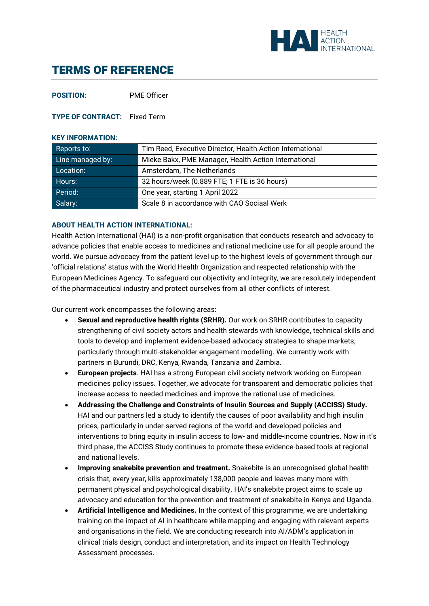

# TERMS OF REFERENCE

**POSITION:** PME Officer

**TYPE OF CONTRACT:** Fixed Term

#### **KEY INFORMATION:**

| Reports to:      | Tim Reed, Executive Director, Health Action International |
|------------------|-----------------------------------------------------------|
| Line managed by: | Mieke Bakx, PME Manager, Health Action International      |
| Location:        | Amsterdam, The Netherlands                                |
| Hours:           | 32 hours/week (0.889 FTE; 1 FTE is 36 hours)              |
| Period:          | One year, starting 1 April 2022                           |
| Salary:          | Scale 8 in accordance with CAO Sociaal Werk               |

#### **ABOUT HEALTH ACTION INTERNATIONAL:**

Health Action International (HAI) is a non-profit organisation that conducts research and advocacy to advance policies that enable access to medicines and rational medicine use for all people around the world. We pursue advocacy from the patient level up to the highest levels of government through our 'official relations' status with the World Health Organization and respected relationship with the European Medicines Agency. To safeguard our objectivity and integrity, we are resolutely independent of the pharmaceutical industry and protect ourselves from all other conflicts of interest.

Our current work encompasses the following areas:

- **Sexual and reproductive health rights (SRHR).** Our work on SRHR contributes to capacity strengthening of civil society actors and health stewards with knowledge, technical skills and tools to develop and implement evidence-based advocacy strategies to shape markets, particularly through multi-stakeholder engagement modelling. We currently work with partners in Burundi, DRC, Kenya, Rwanda, Tanzania and Zambia.
- **European projects**. HAI has a strong European civil society network working on European medicines policy issues. Together, we advocate for transparent and democratic policies that increase access to needed medicines and improve the rational use of medicines.
- **Addressing the Challenge and Constraints of Insulin Sources and Supply (ACCISS) Study.** HAI and our partners led a study to identify the causes of poor availability and high insulin prices, particularly in under-served regions of the world and developed policies and interventions to bring equity in insulin access to low- and middle-income countries. Now in it's third phase, the ACCISS Study continues to promote these evidence-based tools at regional and national levels.
- **Improving snakebite prevention and treatment.** Snakebite is an unrecognised global health crisis that, every year, kills approximately 138,000 people and leaves many more with permanent physical and psychological disability. HAI's snakebite project aims to scale up advocacy and education for the prevention and treatment of snakebite in Kenya and Uganda.
- **Artificial Intelligence and Medicines.** In the context of this programme, we are undertaking training on the impact of AI in healthcare while mapping and engaging with relevant experts and organisations in the field. We are conducting research into AI/ADM's application in clinical trials design, conduct and interpretation, and its impact on Health Technology Assessment processes.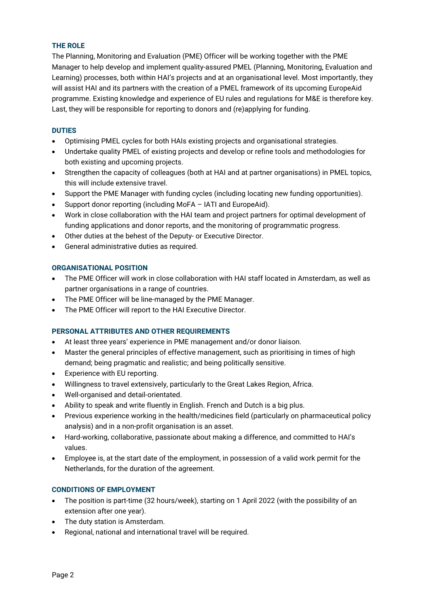## **THE ROLE**

The Planning, Monitoring and Evaluation (PME) Officer will be working together with the PME Manager to help develop and implement quality-assured PMEL (Planning, Monitoring, Evaluation and Learning) processes, both within HAI's projects and at an organisational level. Most importantly, they will assist HAI and its partners with the creation of a PMEL framework of its upcoming EuropeAid programme. Existing knowledge and experience of EU rules and regulations for M&E is therefore key. Last, they will be responsible for reporting to donors and (re)applying for funding.

### **DUTIES**

- Optimising PMEL cycles for both HAIs existing projects and organisational strategies.
- Undertake quality PMEL of existing projects and develop or refine tools and methodologies for both existing and upcoming projects.
- Strengthen the capacity of colleagues (both at HAI and at partner organisations) in PMEL topics, this will include extensive travel.
- Support the PME Manager with funding cycles (including locating new funding opportunities).
- Support donor reporting (including MoFA IATI and EuropeAid).
- Work in close collaboration with the HAI team and project partners for optimal development of funding applications and donor reports, and the monitoring of programmatic progress.
- Other duties at the behest of the Deputy- or Executive Director.
- General administrative duties as required.

### **ORGANISATIONAL POSITION**

- The PME Officer will work in close collaboration with HAI staff located in Amsterdam, as well as partner organisations in a range of countries.
- The PME Officer will be line-managed by the PME Manager.
- The PME Officer will report to the HAI Executive Director.

#### **PERSONAL ATTRIBUTES AND OTHER REQUIREMENTS**

- At least three years' experience in PME management and/or donor liaison.
- Master the general principles of effective management, such as prioritising in times of high demand; being pragmatic and realistic; and being politically sensitive.
- Experience with EU reporting.
- Willingness to travel extensively, particularly to the Great Lakes Region, Africa.
- Well-organised and detail-orientated.
- Ability to speak and write fluently in English. French and Dutch is a big plus.
- Previous experience working in the health/medicines field (particularly on pharmaceutical policy analysis) and in a non-profit organisation is an asset.
- Hard-working, collaborative, passionate about making a difference, and committed to HAI's values.
- Employee is, at the start date of the employment, in possession of a valid work permit for the Netherlands, for the duration of the agreement.

### **CONDITIONS OF EMPLOYMENT**

- The position is part-time (32 hours/week), starting on 1 April 2022 (with the possibility of an extension after one year).
- The duty station is Amsterdam.
- Regional, national and international travel will be required.